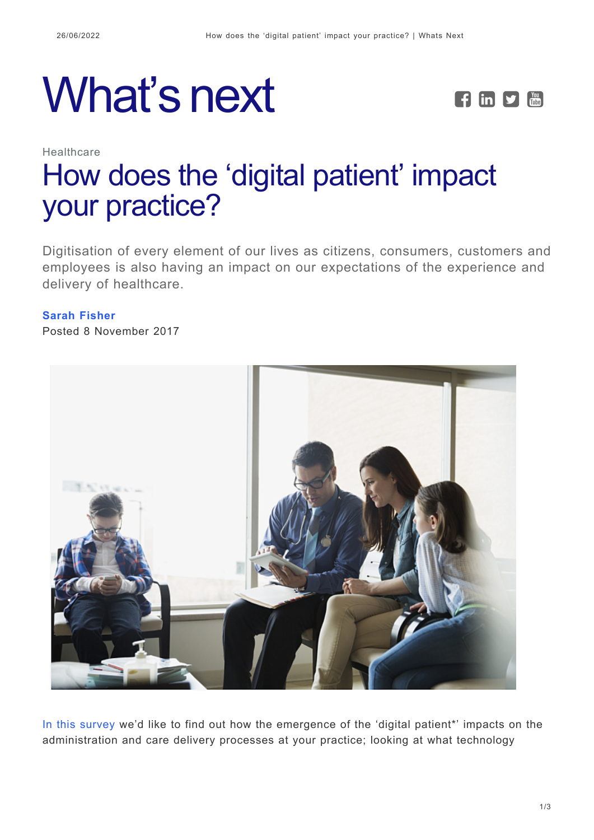# What's next **FEPE**



## Healthcare [How does the 'digital patient' impact](https://whatsnext.nuance.com/en-gb/healthcare/survey-digital-patient-impact-gp-practice/) [your practice?](https://whatsnext.nuance.com/en-gb/healthcare/survey-digital-patient-impact-gp-practice/)

Digitisation of every element of our lives as citizens, consumers, customers and employees is also having an impact on our expectations of the experience and delivery of healthcare.

#### **[Sarah Fisher](https://whatsnext.nuance.com/en-gb/author/sarahfisher/)**

Posted 8 November 2017



[In this survey](https://docs.google.com/forms/d/e/1FAIpQLSc7d4u_jn3YAmG9bqKylM8C_83W4wloSprYH9Ync3ws_uMFiw/viewform) we'd like to find out how the emergence of the 'digital patient\*' impacts on the administration and care delivery processes at your practice; looking at what technology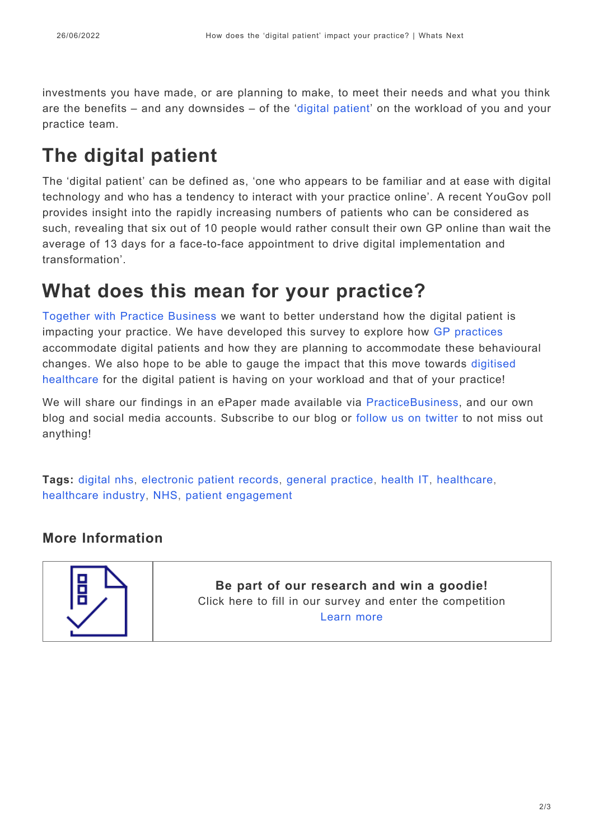investments you have made, or are planning to make, to meet their needs and what you think are the benefits – and any downsides – of the '[digital patient](https://whatsnext.nuance.co.uk/healthcare/are-you-ready-for-your-digital-patients/)' on the workload of you and your practice team.

## **The digital patient**

The 'digital patient' can be defined as, 'one who appears to be familiar and at ease with digital technology and who has a tendency to interact with your practice online'. A recent YouGov poll provides insight into the rapidly increasing numbers of patients who can be considered as such, revealing that six out of 10 people would rather consult their own GP online than wait the average of 13 days for a face-to-face appointment to drive digital implementation and transformation'.

### **What does this mean for your practice?**

[Together with Practice Business](http://practicebusiness.co.uk/the-digital-revolution-how-is-the-digital-patient-impacting-on-general-practice-processes/) we want to better understand how the digital patient is impacting your practice. We have developed this survey to explore how [GP practices](https://www.nuance.com/en-gb/healthcare/ambulatory-clinics.html) accommodate digital patients and how they are planning to accommodate these behavioural changes. We also hope to be able to gauge the impact that this move towards [digitised](https://www.nuance.com/en-gb/healthcare/physician-and-clinical-speech/dragon-medical-network-edition.html) [healthcare](https://www.nuance.com/en-gb/healthcare/physician-and-clinical-speech/dragon-medical-network-edition.html) for the digital patient is having on your workload and that of your practice!

We will share our findings in an ePaper made available via [PracticeBusiness,](http://practicebusiness.co.uk/) and our own blog and social media accounts. Subscribe to our blog or [follow us on twitter](https://twitter.com/voice4health) to not miss out anything!

**Tags:** [digital nhs](https://whatsnext.nuance.com/en-gb/tag/digital-nhs/), [electronic patient records,](https://whatsnext.nuance.com/en-gb/tag/electronic-patient-records/) [general practice,](https://whatsnext.nuance.com/en-gb/tag/general-practice/) [health IT](https://whatsnext.nuance.com/en-gb/tag/health-it/), [healthcare,](https://whatsnext.nuance.com/en-gb/tag/healthcare/) [healthcare industry,](https://whatsnext.nuance.com/en-gb/tag/healthcare-industry/) [NHS](https://whatsnext.nuance.com/en-gb/tag/nhs/), [patient engagement](https://whatsnext.nuance.com/en-gb/tag/patient-engagement/)

#### **More Information**



**Be part of our research and win a goodie!** Click here to fill in our survey and enter the competition [Learn more](https://docs.google.com/forms/d/e/1FAIpQLSc7d4u_jn3YAmG9bqKylM8C_83W4wloSprYH9Ync3ws_uMFiw/viewform)